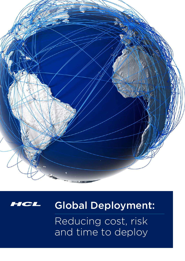



# Global Deployment:

Reducing cost, risk and time to deploy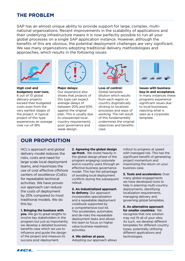## **The Problem**

SAP has an almost unique ability to provide support for large, complex, multinational organizations. Recent improvements in the scalability of applications and their underlying infrastructure means it is now perfectly possible to run all your global processes on a single SAP application instance. However, although the benefits of this are obvious, the potential deployment challenges are very significant. We see many organizations adopting traditional delivery methodologies and approaches, which results in the following issues:



**High cost and budgetary over-runs.**  6 out of 10 global delivery projects exceed their budgeted costs even from the very earliest stages of the project. A typical project of this type experiences an average over run of 18%.



**Major delays:** Our experience also shows that projects of this type can expect average delays of between 20% and 50% against the original plan. This is usually due to unexpected local country requirements, poor governance and weak design.



**Loss of control:**  Global template dilution which results from each region or country dogmatically sticking to localized processes and ways of working. The net result of this fundamentally undermines the original objectives and benefits case.



**Issues with business buy-in and acceptance.**  In many instances these programs experience significant issues due to local businesses rejecting what is seen as a corporate template.

## **Our Proposition**

HCL's approach and global delivery model reduces the risks, costs and need for large scale local deployment teams, and maximizes the use of cost effective offshore centers of excellence (CoEs) for repeatable technical activities. We have proven our approach can reduce the costs of deployment by 25% compared to most traditional models. We do this by:

#### **1. Bringing the business with**

**you.** We go to great lengths to involve key stakeholders in the program but just as importantly, we develop a detailed business benefits case which we use to influence and guide the design of the project and measure its success post deployment.

**2. Agreeing the global design up-front.** We invest heavily in the global design phase of the program engaging corporate and in-country users through an effective business governance model. This has the advantage of avoiding local deployment conflicts during the subsequent rollout.

#### **3. An industrialized approach**

**to delivery.** Our approach incorporates specialization and a repeatable deployment cookbook supported by a comprehensive tool kit. This accelerates, automates and de-risks the repeatable deployment tasks and allows the team to focus on higher value business readiness activities.

**4. We deliver at pace.** Adopting our approach allows rollout to progress at speed with managed risk. This has the significant benefit of generating project momentum and maximizing the return on your business case.

**5. Tools and accelerators:** Over many global engagements we have developed tools to help in planning multi-country deployments, identifying localization requirements, managing delivery and governing global templates.

**6. An alternative approach for smaller countries:** We recognize that one solution may not fit all of your sites. As such, we develop different templates for different country types, potentially utiltizing different applications and technologies.

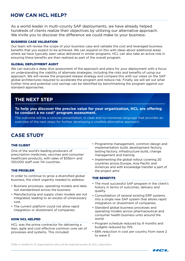## **How CAN HCL help?**

As a world leader in multi-county SAP deployments, we have already helped hundreds of clients realize their objectives by utilizing our alternative approach. We invite you to discover the difference we could make to your business:

#### Business case validation

Our team will review the scope of your business case and validate the cost and leveraged business benefits that you expect to be achieved. We can expand on this with ideas about additional areas where we have typically seen value delivered in similar programs. HCL can also take an active role in ensuring these benefits are then realized as part of the overall program.

#### Global deployment audit

We can execute a deep dive assessment of the approach and plans for your deployment with a focus on understanding the viability of alternate strategies, including the risks and benefits of using our approach. We will review the proposed release strategy and compare this with our views on the SAP global architectures required to accelerate the program and reduce risk. Finally, we will set out what further time and potential cost savings can be identified by benchmarking the program against our standard approaches.

## **The next step**

**To help you discover the precise value for your organization, HCL are offering to conduct a no cost\* program assessment.**

The outcome will be a concise presentation, in clear and no-nonsense language that provides an overview of the next steps for further developing a credible alternative approach.

## **CASE STUDY**

#### THE CLIENT

One of the world's leading producers of prescription medicines, vaccines and consumer healthcare products, with sales of \$35bn+ and 100,000 staff over 114 countries.

#### The Problem

In order to continue to grow a diversified global business, the client urgently needed to address:

- Business processes, operating models and data not standardised across the business
- Manufacturing and supply chain models are not integrated, leading to an excess of unnecessary cost.
- The current platform could not allow rapid integration or divestment of companies.

#### How HCL Helped

HCL was the prime contractor for delivering a lean, agile and cost effective common core set of processes and systems. This included:

- Programme management, common design and implementation build, development factory, testing factory, infrastructure build, change management and training
- Implementing the global rollout covering 20 countries across Europe, Asia Pacific and Americas and with knowledge transfer a part of the project aims'

#### The Benefits

- The most successful SAP program in the client's history in terms of outcomes, delivery and quality.
- Consolidation of several existing ERP systems into a single new SAP system that allows rapid integration or divestment of companies.
- Standard global business processes and operating models across pharmaceutical and consumer health business units around the world.
- Program schedule reduced by 9 months and budgets reduced by 15%.
- 68% reduction in cost per country from wave 2 to wave 3.

*\*Offer is limited to 15 organizations who will be selected purely at HCL's discretion.*